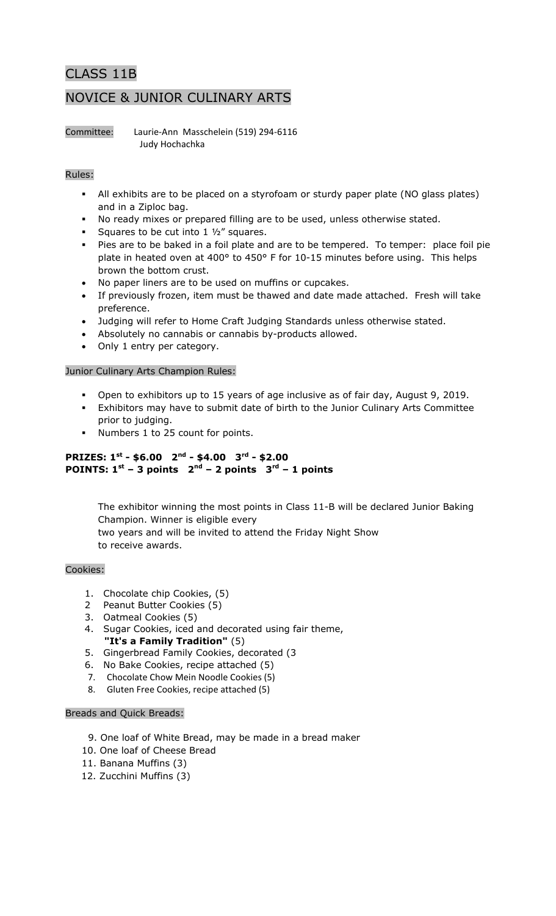# CLASS 11B NOVICE & JUNIOR CULINARY ARTS

Committee: Laurie-Ann Masschelein (519) 294-6116 Judy Hochachka

## Rules:

- All exhibits are to be placed on a styrofoam or sturdy paper plate (NO glass plates) and in a Ziploc bag.
- No ready mixes or prepared filling are to be used, unless otherwise stated.
- Squares to be cut into  $1\frac{1}{2}$  squares.
- Pies are to be baked in a foil plate and are to be tempered. To temper: place foil pie plate in heated oven at 400° to 450° F for 10-15 minutes before using. This helps brown the bottom crust.
- No paper liners are to be used on muffins or cupcakes.
- If previously frozen, item must be thawed and date made attached. Fresh will take preference.
- Judging will refer to Home Craft Judging Standards unless otherwise stated.
- Absolutely no cannabis or cannabis by-products allowed.
- Only 1 entry per category.

#### Junior Culinary Arts Champion Rules:

- Open to exhibitors up to 15 years of age inclusive as of fair day, August 9, 2019.
- Exhibitors may have to submit date of birth to the Junior Culinary Arts Committee prior to judging.
- Numbers 1 to 25 count for points.

## **PRIZES: 1st - \$6.00 2nd - \$4.00 3rd - \$2.00 POINTS:**  $1^{st}$  – 3 points  $2^{nd}$  – 2 points  $3^{rd}$  – 1 points

The exhibitor winning the most points in Class 11-B will be declared Junior Baking Champion. Winner is eligible every two years and will be invited to attend the Friday Night Show to receive awards.

#### Cookies:

- 1. Chocolate chip Cookies, (5)
- 2 Peanut Butter Cookies (5)
- 3. Oatmeal Cookies (5)
- 4. Sugar Cookies, iced and decorated using fair theme, **"It's a Family Tradition"** (5)
- 5. Gingerbread Family Cookies, decorated (3
- 6. No Bake Cookies, recipe attached (5)
- 7. Chocolate Chow Mein Noodle Cookies (5)
- 8.Gluten Free Cookies, recipe attached (5)

#### Breads and Quick Breads:

- 9. One loaf of White Bread, may be made in a bread maker
- 10. One loaf of Cheese Bread
- 11. Banana Muffins (3)
- 12. Zucchini Muffins (3)